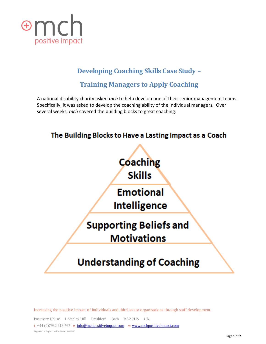

## **Developing Coaching Skills Case Study –**

## **Training Managers to Apply Coaching**

A national disability charity asked *mch* to help develop one of their senior management teams. Specifically, it was asked to develop the coaching ability of the individual managers. Over several weeks, *mch* covered the building blocks to great coaching:



Increasing the positive impact of individuals and third sector organisations through staff development.

Positivity House 1 Stanley Hill Freshford Bath BA2 7US UK **t** +44 (0)7932 918 767 **e** [info@mchpositiveimpact.com](mailto:info@mchpositiveimpact.com) **w** [www.mchpositiveimpact.com](http://www.mchpositiveimpact.com/) Registered in England and Wales no. 54455273